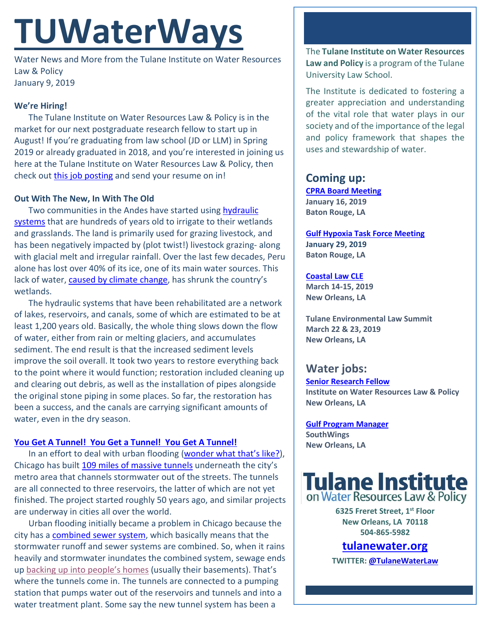# **TUWaterWays**

Water News and More from the Tulane Institute on Water Resources Law & Policy January 9, 2019

### **We're Hiring!**

The Tulane Institute on Water Resources Law & Policy is in the market for our next postgraduate research fellow to start up in August! If you're graduating from law school (JD or LLM) in Spring 2019 or already graduated in 2018, and you're interested in joining us here at the Tulane Institute on Water Resources Law & Policy, then check out [this job posting](https://jobs.tulane.edu/position/IRC15932) and send your resume on in!

#### **Out With The New, In With The Old**

Two communities in the Andes have started using [hydraulic](https://www.npr.org/sections/goatsandsoda/2019/01/02/600833370/climate-change-is-bad-for-perus-pastures-but-theres-a-1-200-year-old-solution)  [systems](https://www.npr.org/sections/goatsandsoda/2019/01/02/600833370/climate-change-is-bad-for-perus-pastures-but-theres-a-1-200-year-old-solution) that are hundreds of years old to irrigate to their wetlands and grasslands. The land is primarily used for grazing livestock, and has been negatively impacted by (plot twist!) livestock grazing- along with glacial melt and irregular rainfall. Over the last few decades, Peru alone has lost over 40% of its ice, one of its main water sources. This lack of water[, caused by climate change,](https://www.livinginperu.com/villagers-turn-to-an-ancient-system-to-fight-climate-change-in-canchayllo/) has shrunk the country's wetlands.

The hydraulic systems that have been rehabilitated are a network of lakes, reservoirs, and canals, some of which are estimated to be at least 1,200 years old. Basically, the whole thing slows down the flow of water, either from rain or melting glaciers, and accumulates sediment. The end result is that the increased sediment levels improve the soil overall. It took two years to restore everything back to the point where it would function; restoration included cleaning up and clearing out debris, as well as the installation of pipes alongside the original stone piping in some places. So far, the restoration has been a success, and the canals are carrying significant amounts of water, even in the dry season.

#### **[You Get A Tunnel! You Get a Tunnel! You Get A Tunnel!](https://www.youtube.com/watch?v=pviYWzu0dzk)**

In an effort to deal with urban flooding [\(wonder what that's like?\)](https://www.nola.com/expo/news/erry-2018/10/3c9e68a5d52545/new-orleans-dips-its-toes-into.html), Chicago has built [109 miles of massive tunnels](https://slate.com/business/2019/01/chicagos-deep-tunnel-is-it-the-solution-to-urban-flooding-or-a-cautionary-tale.html) underneath the city's metro area that channels stormwater out of the streets. The tunnels are all connected to three reservoirs, the latter of which are not yet finished. The project started roughly 50 years ago, and similar projects are underway in cities all over the world.

Urban flooding initially became a problem in Chicago because the city has a **combined sewer system**, which basically means that the stormwater runoff and sewer systems are combined. So, when it rains heavily and stormwater inundates the combined system, sewage ends up [backing up into people's homes](https://encrypted-tbn0.gstatic.com/images?q=tbn:ANd9GcSOZkxstRz6ZCUEtngusQgv9ry_CmxJ4Shxj1e04olQDt_eCoZv8Q) (usually their basements). That's where the tunnels come in. The tunnels are connected to a pumping station that pumps water out of the reservoirs and tunnels and into a water treatment plant. Some say the new tunnel system has been a

The **Tulane Institute on Water Resources Law and Policy** is a program of the Tulane University Law School.

The Institute is dedicated to fostering a greater appreciation and understanding of the vital role that water plays in our society and of the importance of the legal and policy framework that shapes the uses and stewardship of water.

# **Coming up:**

**[CPRA Board Meeting](http://coastal.la.gov/calendar/) January 16, 2019 Baton Rouge, LA**

**[Gulf Hypoxia Task Force Meeting](https://water-meetings.tetratech.com/Hypoxia/StaticPublic/index.htm) January 29, 2019 Baton Rouge, LA**

#### **[Coastal Law CLE](https://www.theseminargroup.net/seminardetl.aspx?id=19.shrNO)**

**March 14-15, 2019 New Orleans, LA**

**Tulane Environmental Law Summit March 22 & 23, 2019 New Orleans, LA**

## **Water jobs:**

**[Senior Research Fellow](https://jobs.tulane.edu/position/IRC15932) Institute on Water Resources Law & Policy New Orleans, LA**

**[Gulf Program Manager](http://www.southwings.org/news/hiring-gulf-manager/) SouthWings New Orleans, LA**



**6325 Freret Street, 1st Floor New Orleans, LA 70118 504-865-5982** 

## **tulanewater.org**

**TWITTER[: @TulaneWaterLaw](http://www.twitter.com/TulaneWaterLaw)**